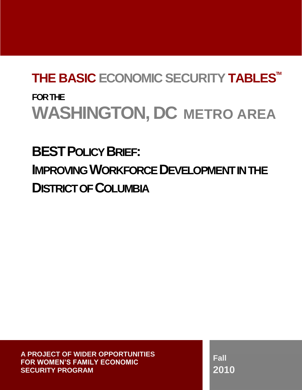# **THE BASIC ECONOMIC SECURITY TABLESTM FOR THE WASHINGTON, DC METRO AREA**

**BESTPOLICY BRIEF: IMPROVING WORKFORCE DEVELOPMENTIN THE DISTRICT OF COLUMBIA**

 **A PROJECT OF WIDER OPPORTUNITIES FOR WOMEN'S FAMILY ECONOMIC SECURITY PROGRAM**

**Fall 2010**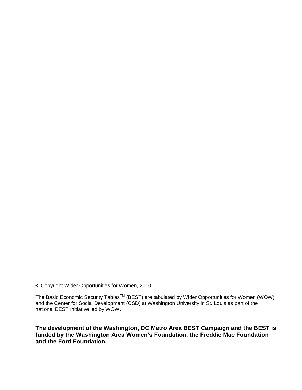© Copyright Wider Opportunities for Women, 2010.

The Basic Economic Security Tables<sup>TM</sup> (BEST) are tabulated by Wider Opportunities for Women (WOW) and the Center for Social Development (CSD) at Washington University in St. Louis as part of the national BEST Initiative led by WOW.

**The development of the Washington, DC Metro Area BEST Campaign and the BEST is funded by the Washington Area Women's Foundation, the Freddie Mac Foundation and the Ford Foundation.**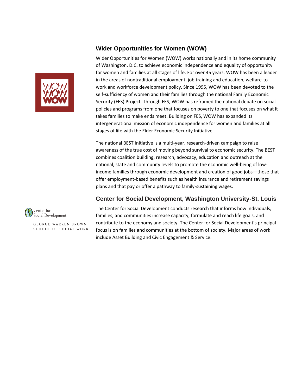## **Wider Opportunities for Women (WOW)**



The national BEST Initiative is a multi-year, research-driven campaign to raise awareness of the true cost of moving beyond survival to economic security. The BEST combines coalition building, research, advocacy, education and outreach at the national, state and community levels to promote the economic well-being of lowincome families through economic development and creation of good jobs—those that offer employment-based benefits such as health insurance and retirement savings plans and that pay or offer a pathway to family-sustaining wages.

## **Center for Social Development, Washington University-St. Louis**



**GEORGE WARREN BROWN SCHOOL OF SOCIAL WORK**  The Center for Social Development conducts research that informs how individuals, families, and communities increase capacity, formulate and reach life goals, and contribute to the economy and society. The Center for Social Development's principal focus is on families and communities at the bottom of society. Major areas of work include Asset Building and Civic Engagement & Service.

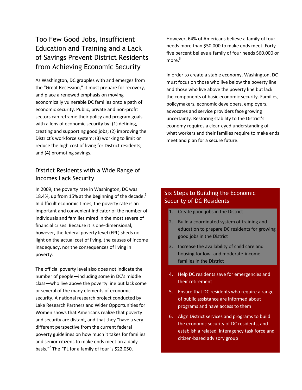# Too Few Good Jobs, Insufficient Education and Training and a Lack of Savings Prevent District Residents from Achieving Economic Security

As Washington, DC grapples with and emerges from the "Great Recession," it must prepare for recovery, and place a renewed emphasis on moving economically vulnerable DC families onto a path of economic security. Public, private and non-profit sectors can reframe their policy and program goals with a lens of economic security by: (1) defining, creating and supporting good jobs; (2) improving the District's workforce system; (3) working to limit or reduce the high cost of living for District residents; and (4) promoting savings.

## District Residents with a Wide Range of Incomes Lack Security

In 2009, the poverty rate in Washington, DC was 18.4%, up from 15% at the beginning of the decade.<sup>1</sup> In difficult economic times, the poverty rate is an important and convenient indicator of the number of individuals and families mired in the most severe of financial crises. Because it is one-dimensional, however, the federal poverty level (FPL) sheds no light on the actual cost of living, the causes of income inadequacy, nor the consequences of living in poverty.

The official poverty level also does not indicate the number of people—including some in DC's middle class—who live above the poverty line but lack some or several of the many elements of economic security. A national research project conducted by Lake Research Partners and Wider Opportunities for Women shows that Americans realize that poverty and security are distant, and that they "have a very different perspective from the current federal poverty guidelines on how much it takes for families and senior citizens to make ends meet on a daily basis."<sup>2</sup> The FPL for a family of four is \$22,050.

However, 64% of Americans believe a family of four needs more than \$50,000 to make ends meet. Fortyfive percent believe a family of four needs \$60,000 or more. 3

In order to create a stable economy, Washington, DC must focus on those who live below the poverty line and those who live above the poverty line but lack the components of basic economic security. Families, policymakers, economic developers, employers, advocates and service providers face growing uncertainty. Restoring stability to the District's economy requires a clear-eyed understanding of what workers and their families require to make ends meet and plan for a secure future.

## Six Steps to Building the Economic Security of DC Residents

- 1. Create good jobs in the District
- 2. Build a coordinated system of training and education to prepare DC residents for growing good jobs in the District
- 3. Increase the availability of child care and housing for low- and moderate-income families in the District
- 4. Help DC residents save for emergencies and their retirement
- 5. Ensure that DC residents who require a range of public assistance are informed about programs and have access to them
- 6. Align District services and programs to build the economic security of DC residents, and establish a related interagency task force and citizen-based advisory group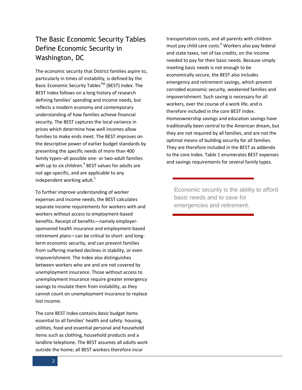# The Basic Economic Security Tables Define Economic Security in Washington, DC

The economic security that District families aspire to, particularly in times of instability, is defined by the Basic Economic Security Tables™ (BEST) Index. The BEST Index follows on a long history of research defining families' spending and income needs, but reflects a modern economy and contemporary understanding of how families achieve financial security. The BEST captures the local variance in prices which determine how well incomes allow families to make ends meet. The BEST improves on the descriptive power of earlier budget standards by presenting the specific needs of more than 400 family types–all possible one- or two-adult families with up to six children. $4$  BEST values for adults are not age-specific, and are applicable to any independent working adult.<sup>5</sup>

To further improve understanding of worker expenses and income needs, the BEST calculates separate income requirements for workers with and workers without access to employment-based benefits. Receipt of benefits—namely employersponsored health insurance and employment-based retirement plans—can be critical to short- and longterm economic security, and can prevent families from suffering marked declines in stability, or even impoverishment. The Index also distinguishes between workers who are and are not covered by unemployment insurance. Those without access to unemployment insurance require greater emergency savings to insulate them from instability, as they cannot count on unemployment insurance to replace lost income.

The core BEST Index contains *basic* budget items essential to all families' health and safety: housing, utilities, food and essential personal and household items such as clothing, household products and a landline telephone. The BEST assumes all adults work outside the home; all BEST workers therefore incur

transportation costs, and all parents with children must pay child care costs.<sup>6</sup> Workers also pay federal and state taxes, net of tax credits, on the income needed to pay for their basic needs. Because simply meeting basic needs is not enough to be economically secure, the BEST also includes emergency and retirement savings, which prevent corroded economic security, weakened families and impoverishment. Such saving is necessary for all workers, over the course of a work life, and is therefore included in the core BEST Index. Homeownership savings and education savings have traditionally been central to the American dream, but they are not required by all families, and are not the optimal means of building security for all families. They are therefore included in the BEST as addenda to the core Index. Table 1 enumerates BEST expenses and savings requirements for several family types.

Economic security is the ability to afford basic needs and to save for emergencies and retirement.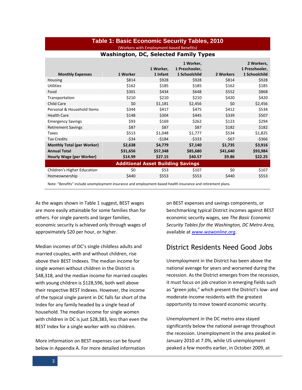#### **Table 1: Basic Economic Security Tables, 2010**  (Workers with Employment-based Benefits)

| <b>Monthly Expenses</b>                  | 1 Worker | 1 Worker,<br>1 Infant | 1 Worker,<br>1 Preschooler,<br>1 Schoolchild | 2 Workers | 2 Workers,<br>1 Preschooler,<br>1 Schoolchild |  |  |  |
|------------------------------------------|----------|-----------------------|----------------------------------------------|-----------|-----------------------------------------------|--|--|--|
| <b>Housing</b>                           | \$814    | \$928                 | \$928                                        | \$814     | \$928                                         |  |  |  |
| <b>Utilities</b>                         | \$162    | \$185                 | \$185                                        | \$162     | \$185                                         |  |  |  |
| Food                                     | \$301    | \$434                 | \$648                                        | \$552     | \$868                                         |  |  |  |
| Transportation                           | \$210    | \$210                 | \$210                                        | \$420     | \$420                                         |  |  |  |
| <b>Child Care</b>                        | \$0      | \$1,181               | \$2,456                                      | \$0       | \$2,456                                       |  |  |  |
| Personal & Household Items               | \$344    | \$417                 | \$475                                        | \$412     | \$534                                         |  |  |  |
| <b>Health Care</b>                       | \$148    | \$304                 | \$445                                        | \$339     | \$507                                         |  |  |  |
| <b>Emergency Savings</b>                 | \$93     | \$169                 | \$262                                        | \$123     | \$294                                         |  |  |  |
| <b>Retirement Savings</b>                | \$87     | \$87                  | \$87                                         | \$182     | \$182                                         |  |  |  |
| <b>Taxes</b>                             | \$513    | \$1,048               | \$1,777                                      | \$534     | \$1,825                                       |  |  |  |
| <b>Tax Credits</b>                       | $-534$   | $-5184$               | $-5333$                                      | $-567$    | $-5366$                                       |  |  |  |
| <b>Monthly Total (per Worker)</b>        | \$2,638  | \$4,779               | \$7,140                                      | \$1,735   | \$3,916                                       |  |  |  |
| <b>Annual Total</b>                      | \$31,656 | \$57,348              | \$85,680                                     | \$41,640  | \$93,984                                      |  |  |  |
| Hourly Wage (per Worker)                 | \$14.99  | \$27.15               | \$40.57                                      | \$9.86    | \$22.25                                       |  |  |  |
| <b>Additional Asset Building Savings</b> |          |                       |                                              |           |                                               |  |  |  |
| Children's Higher Education              | \$0      | \$53                  | \$107                                        | \$0       | \$107                                         |  |  |  |
| Homeownership                            | \$440    | \$553                 | \$553                                        | \$440     | \$553                                         |  |  |  |

#### **Washington, DC, Selected Family Types**

Note: "Benefits" include unemployment insurance and employment-based health insurance and retirement plans.

As the wages shown in Table 1 suggest, BEST wages are more easily attainable for some families than for others. For single parents and larger families, economic security is achieved only through wages of approximately \$20 per hour, or higher.

Median incomes of DC's single childless adults and married couples, with and without children, rise above their BEST Indexes. The median income for single women without children in the District is \$48,318, and the median income for married couples with young children is \$128,596, both well above their respective BEST Indexes. However, the income of the typical single parent in DC falls far short of the Index for any family headed by a single head of household. The median income for single women with children in DC is just \$28,383, less than even the BEST Index for a single worker with no children.

More information on BEST expenses can be found below in Appendix A. For more detailed information on BEST expenses and savings components, or benchmarking typical District incomes against BEST economic security wages, see *The Basic Economic Security Tables for the Washington, DC Metro Area,*  available at *[www.wowonline.org](http://www.wowonline.org/)*.

## District Residents Need Good Jobs

Unemployment in the District has been above the national average for years and worsened during the recession. As the District emerges from the recession, it must focus on job creation in emerging fields such as "green jobs," which present the District's low- and moderate-income residents with the greatest opportunity to move toward economic security.

Unemployment in the DC metro area stayed significantly below the national average throughout the recession. Unemployment in the area peaked in January 2010 at 7.0%, while US unemployment peaked a few months earlier, in October 2009, at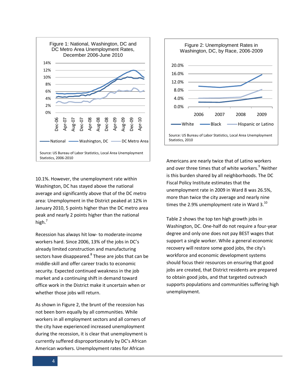

10.1%. However, the unemployment rate within Washington, DC has stayed above the national average and significantly above that of the DC metro area: Unemployment in the District peaked at 12% in January 2010, 5 points higher than the DC metro area peak and nearly 2 points higher than the national high. 7

Recession has always hit low- to moderate-income workers hard. Since 2006, 13% of the jobs in DC's already limited construction and manufacturing sectors have disappeared.<sup>8</sup> These are jobs that can be middle-skill and offer career tracks to economic security. Expected continued weakness in the job market and a continuing shift in demand toward office work in the District make it uncertain when or whether those jobs will return.

As shown in Figure 2, the brunt of the recession has not been born equally by all communities. While workers in all employment sectors and all corners of the city have experienced increased unemployment during the recession, it is clear that unemployment is currently suffered disproportionately by DC's African American workers. Unemployment rates for African



Americans are nearly twice that of Latino workers and over three times that of white workers.<sup>9</sup> Neither is this burden shared by all neighborhoods. The DC Fiscal Policy Institute estimates that the unemployment rate in 2009 in Ward 8 was 26.5%, more than twice the city average and nearly nine times the 2.9% unemployment rate in Ward  $3.^{10}$ 

Table 2 shows the top ten high growth jobs in Washington, DC. One-half do not require a four-year degree and only one does not pay BEST wages that support a single worker. While a general economic recovery will restore some good jobs, the city's workforce and economic development systems should focus their resources on ensuring that good jobs are created, that District residents are prepared to obtain good jobs, and that targeted outreach supports populations and communities suffering high unemployment.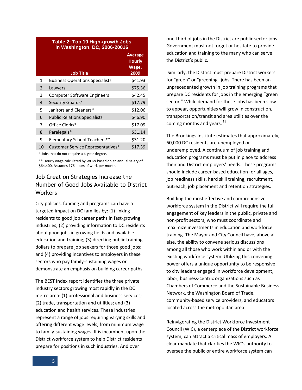| <b>Table 2: Top 10 High-growth Jobs</b><br>in Washington, DC, 2006-20016 |                                        |                                                  |  |  |
|--------------------------------------------------------------------------|----------------------------------------|--------------------------------------------------|--|--|
|                                                                          | <b>Job Title</b>                       | <b>Average</b><br><b>Hourly</b><br>Wage,<br>2009 |  |  |
| 1                                                                        | <b>Business Operations Specialists</b> | \$41.93                                          |  |  |
| 2                                                                        | Lawyers                                | \$75.36                                          |  |  |
| 3                                                                        | <b>Computer Software Engineers</b>     | \$42.45                                          |  |  |
| 4                                                                        | Security Guards*                       | \$17.79                                          |  |  |
| 5                                                                        | Janitors and Cleaners*                 | \$12.06                                          |  |  |
| 6                                                                        | <b>Public Relations Specialists</b>    | \$46.90                                          |  |  |
| 7                                                                        | Office Clerks*                         | \$17.09                                          |  |  |
| 8                                                                        | Paralegals*                            | \$31.14                                          |  |  |
| 9                                                                        | Elementary School Teachers**           | \$31.20                                          |  |  |
| 10                                                                       | Customer Service Representatives*      | \$17.39                                          |  |  |

\* Jobs that do not require a 4-year degree.

\*\* Hourly wage calculated by WOW based on an annual salary of \$64,400. Assumes 176 hours of work per month.

## Job Creation Strategies Increase the Number of Good Jobs Available to District **Workers**

City policies, funding and programs can have a targeted impact on DC families by: (1) linking residents to good job career paths in fast-growing industries; (2) providing information to DC residents about good jobs in growing fields and available education and training; (3) directing public training dollars to prepare job seekers for those good jobs; and (4) providing incentives to employers in these sectors who pay family-sustaining wages or demonstrate an emphasis on building career paths.

The BEST Index report identifies the three private industry sectors growing most rapidly in the DC metro area: (1) professional and business services; (2) trade, transportation and utilities; and (3) education and health services. These industries represent a range of jobs requiring varying skills and offering different wage levels, from minimum wage to family-sustaining wages. It is incumbent upon the District workforce system to help District residents prepare for positions in such industries. And over

one-third of jobs in the District are public sector jobs. Government must not forget or hesitate to provide education and training to the many who can serve the District's public.

Similarly, the District must prepare District workers for "green" or "greening" jobs. There has been an unprecedented growth in job training programs that prepare DC residents for jobs in the emerging "green sector." While demand for these jobs has been slow to appear, opportunities will grow in construction, transportation/transit and area utilities over the coming months and years.  $^{11}$ 

The Brookings Institute estimates that approximately, 60,000 DC residents are unemployed or underemployed. A continuum of job training and education programs must be put in place to address their and District employers' needs. These programs should include career-based education for all ages, job readiness skills, hard skill training, recruitment, outreach, job placement and retention strategies.

Building the most effective and comprehensive workforce system in the District will require the full engagement of key leaders in the public, private and non-profit sectors, who must coordinate and maximize investments in education and workforce training. The Mayor and City Council have, above all else, the ability to convene serious discussions among all those who work within and or with the existing workforce system. Utilizing this convening power offers a unique opportunity to be responsive to city leaders engaged in workforce development, labor, business-centric organizations such as Chambers of Commerce and the Sustainable Business Network, the Washington Board of Trade, community-based service providers, and educators located across the metropolitan area.

Reinvigorating the District Workforce Investment Council (WIC), a centerpiece of the District workforce system, can attract a critical mass of employers. A clear mandate that clarifies the WIC's authority to oversee the public or entire workforce system can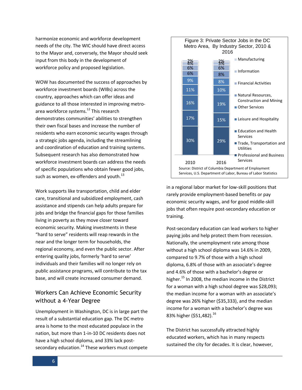harmonize economic and workforce development needs of the city. The WIC should have direct access to the Mayor and, conversely, the Mayor should seek input from this body in the development of workforce policy and proposed legislation.

WOW has documented the success of approaches by workforce investment boards (WIBs) across the country, approaches which can offer ideas and guidance to all those interested in improving metroarea workforce systems. <sup>12</sup> This research demonstrates communities' abilities to strengthen their own fiscal bases and increase the number of residents who earn economic security wages through a strategic jobs agenda, including the streamlining and coordination of education and training systems. Subsequent research has also demonstrated how workforce investment boards can address the needs of specific populations who obtain fewer good jobs, such as women, ex-offenders and youth. $^{13}$ 

Work supports like transportation, child and elder care, transitional and subsidized employment, cash assistance and stipends can help adults prepare for jobs and bridge the financial gaps for those families living in poverty as they move closer toward economic security. Making investments in these "hard to serve" residents will reap rewards in the near and the longer term for households, the regional economy, and even the public sector. After entering quality jobs, formerly 'hard to serve' individuals and their families will no longer rely on public assistance programs, will contribute to the tax base, and will create increased consumer demand.

## Workers Can Achieve Economic Security without a 4-Year Degree

Unemployment in Washington, DC is in large part the result of a substantial education gap. The DC metro area is home to the most educated populace in the nation, but more than 1-in-10 DC residents does not have a high school diploma, and 33% lack postsecondary education.<sup>14</sup> These workers must compete



in a regional labor market for low-skill positions that rarely provide employment-based benefits or pay economic security wages, and for good middle-skill jobs that often require post-secondary education or training.

Post-secondary education can lead workers to higher paying jobs and help protect them from recession. Nationally, the unemployment rate among those without a high school diploma was 14.6% in 2009, compared to 9.7% of those with a high school diploma, 6.8% of those with an associate's degree and 4.6% of those with a bachelor's degree or higher. <sup>15</sup> In 2008, the median income in the District for a woman with a high school degree was \$28,093; the median income for a woman with an associate's degree was 26% higher (\$35,333), and the median income for a woman with a bachelor's degree was 83% higher (\$51,482).<sup>16</sup>

The District has successfully attracted highly educated workers, which has in many respects sustained the city for decades. It is clear, however,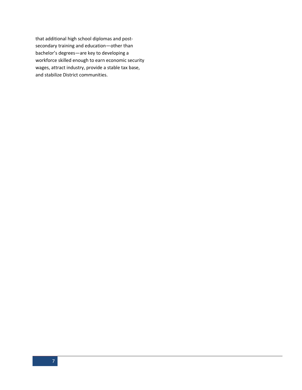that additional high school diplomas and postsecondary training and education—other than bachelor's degrees—are key to developing a workforce skilled enough to earn economic security wages, attract industry, provide a stable tax base, and stabilize District communities.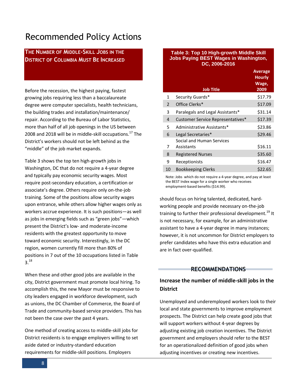# Recommended Policy Actions

**THE NUMBER OF MIDDLE-SKILL JOBS IN THE DISTRICT OF COLUMBIA MUST BE INCREASED**

Before the recession, the highest paying, fastest growing jobs requiring less than a baccalaureate degree were computer specialists, health technicians, the building trades and installation/maintenance/ repair. According to the Bureau of Labor Statistics, more than half of all job openings in the US between 2008 and 2018 will be in middle-skill occupations.<sup>17</sup> The District's workers should not be left behind as the "middle" of the job market expands.

Table 3 shows the top ten high-growth jobs in Washington, DC that do not require a 4-year degree and typically pay economic security wages. Most require post-secondary education, a certification or associate's degree. Others require only on-the-job training. Some of the positions allow security wages upon entrance, while others allow higher wages only as workers accrue experience. It is such positions—as well as jobs in emerging fields such as "green jobs"—which present the District's low- and moderate-income residents with the greatest opportunity to move toward economic security. Interestingly, in the DC region, women currently fill more than 80% of positions in 7 out of the 10 occupations listed in Table 3. 18

When these and other good jobs are available in the city, District government must promote local hiring. To accomplish this, the new Mayor must be responsive to city leaders engaged in workforce development, such as unions, the DC Chamber of Commerce, the Board of Trade and community-based service providers. This has not been the case over the past 4 years.

One method of creating access to middle-skill jobs for District residents is to engage employers willing to set aside dated or industry-standard education requirements for middle-skill positions. Employers

#### **Table 3: Top 10 High-growth Middle Skill Jobs Paying BEST Wages in Washington, DC, 2006-2016**

|    | <b>Job Title</b>                        | <b>Average</b><br><b>Hourly</b><br>Wage,<br>2009 |
|----|-----------------------------------------|--------------------------------------------------|
| 1  | Security Guards*                        | \$17.79                                          |
| 2  | Office Clerks*                          | \$17.09                                          |
| 3  | Paralegals and Legal Assistants*        | \$31.14                                          |
| 4  | Customer Service Representatives*       | \$17.39                                          |
| 5  | Administrative Assistants*              | \$23.86                                          |
| 6  | Legal Secretaries*                      | \$29.46                                          |
| 7  | Social and Human Services<br>Assistants | \$16.11                                          |
| 8  | <b>Registered Nurses</b>                | \$35.60                                          |
| 9  | Receptionists                           | \$16.47                                          |
| 10 | <b>Bookkeeping Clerks</b>               | \$22.65                                          |

Note: Jobs which do not require a 4-year degree, and pay at least the BEST Index wage for a single worker who receives employment-based benefits (\$14.99).

should focus on hiring talented, dedicated, hardworking people and provide necessary on-the-job training to further their professional development.<sup>19</sup> It is not necessary, for example, for an administrative assistant to have a 4-year degree in many instances; however, it is not uncommon for District employers to prefer candidates who have this extra education and are in fact over-qualified.

#### **RECOMMENDATIONS**

## **Increase the number of middle-skill jobs in the District**

Unemployed and underemployed workers look to their local and state governments to improve employment prospects. The District can help create good jobs that will support workers without 4-year degrees by adjusting existing job creation incentives. The District government and employers should refer to the BEST for an operationalized definition of good jobs when adjusting incentives or creating new incentives.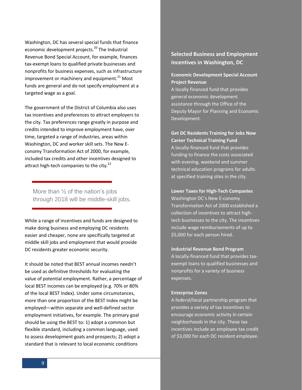Washington, DC has several special funds that finance economic development projects.<sup>20</sup> The Industrial Revenue Bond Special Account, for example, finances tax-exempt loans to qualified private businesses and nonprofits for business expenses, such as infrastructure improvement or machinery and equipment.<sup>21</sup> Most funds are general and do not specify employment at a targeted wage as a goal.

The government of the District of Columbia also uses tax incentives and preferences to attract employers to the city. Tax preferences range greatly in purpose and credits intended to improve employment have, over time, targeted a range of industries, areas within Washington, DC and worker skill sets. The New Economy Transformation Act of 2000, for example, included tax credits and other incentives designed to attract high-tech companies to the city.<sup>22</sup>

More than  $\frac{1}{2}$  of the nation's jobs through 2018 will be middle-skill jobs.

While a range of incentives and funds are designed to make doing business and employing DC residents easier and cheaper, none are specifically targeted at middle skill jobs and employment that would provide DC residents greater economic security.

It should be noted that BEST annual incomes needn't be used as definitive thresholds for evaluating the value of potential employment. Rather, a percentage of local BEST incomes can be employed (e.g. 70% or 80% of the local BEST Index). Under some circumstances, more than one proportion of the BEST Index might be employed—within separate and well-defined sector employment initiatives, for example. The primary goal should be using the BEST to: 1) adopt a common but flexible standard, including a common language, used to assess development goals and prospects; 2) adopt a standard that is relevant to local economic conditions

## **Selected Business and Employment Incentives in Washington, DC**

#### **Economic Development Special Account Project Revenue**

A locally financed fund that provides general economic development assistance through the Office of the Deputy Mayor for Planning and Economic Development.

**Get DC Residents Training for Jobs Now Career Technical Training Fund** A locally-financed fund that provides funding to finance the costs associated with evening, weekend and summer technical education programs for adults at specified training sites in the city.

**Lower Taxes for High-Tech Companies** Washington DC's New E-conomy Transformation Act of 2000 established a collection of incentives to attract hightech businesses to the city. The incentives include wage reimbursements of up to \$5,000 for each person hired.

#### **Industrial Revenue Bond Program**

A locally-financed fund that provides taxexempt loans to qualified businesses and nonprofits for a variety of business expenses.

#### **Enterprise Zones**

A federal/local partnership program that provides a variety of tax incentives to encourage economic activity in certain neighborhoods in the city. These tax incentives include an employee tax credit of \$3,000 for each DC resident employee.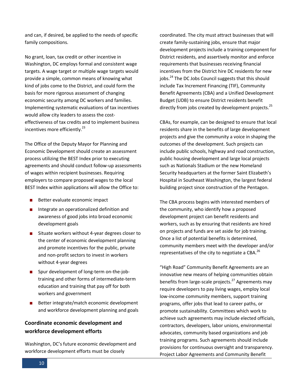and can, if desired, be applied to the needs of specific family compositions.

No grant, loan, tax credit or other incentive in Washington, DC employs formal and consistent wage targets. A wage target or multiple wage targets would provide a simple, common means of knowing what kind of jobs come to the District, and could form the basis for more rigorous assessment of changing economic security among DC workers and families. Implementing systematic evaluations of tax incentives would allow city leaders to assess the costeffectiveness of tax credits and to implement business incentives more efficiently.<sup>23</sup>

The Office of the Deputy Mayor for Planning and Economic Development should create an assessment process utilizing the BEST Index prior to executing agreements and should conduct follow-up assessments of wages within recipient businesses. Requiring employers to compare proposed wages to the local BEST Index within applications will allow the Office to:

- Better evaluate economic impact
- Integrate an operationalized definition and awareness of good jobs into broad economic development goals
- Situate workers without 4-year degrees closer to the center of economic development planning and promote incentives for the public, private and non-profit sectors to invest in workers without 4-year degrees
- Spur development of long-term on-the-jobtraining and other forms of intermediate-term education and training that pay off for both workers and government
- Better integrate/match economic development and workforce development planning and goals

## **Coordinate economic development and workforce development efforts**

Washington, DC's future economic development and workforce development efforts must be closely

coordinated. The city must attract businesses that will create family-sustaining jobs, ensure that major development projects include a training component for District residents, and assertively monitor and enforce requirements that businesses receiving financial incentives from the District hire DC residents for new jobs.<sup>24</sup> The DC Jobs Council suggests that this should include Tax Increment Financing (TIF), Community Benefit Agreements (CBA) and a Unified Development Budget (UDB) to ensure District residents benefit directly from jobs created by development projects.<sup>25</sup>

CBAs, for example, can be designed to ensure that local residents share in the benefits of large development projects and give the community a voice in shaping the outcomes of the development. Such projects can include public schools, highway and road construction, public housing development and large local projects such as Nationals Stadium or the new Homeland Security headquarters at the former Saint Elizabeth's Hospital in Southeast Washington, the largest federal building project since construction of the Pentagon.

The CBA process begins with interested members of the community, who identify how a proposed development project can benefit residents and workers, such as by ensuring that residents are hired on projects and funds are set aside for job training. Once a list of potential benefits is determined, community members meet with the developer and/or representatives of the city to negotiate a CBA. $^{26}$ 

"High Road" Community Benefit Agreements are an innovative new means of helping communities obtain benefits from large-scale projects.<sup>27</sup> Agreements may require developers to pay living wages, employ local low-income community members, support training programs, offer jobs that lead to career paths, or promote sustainability. Committees which work to achieve such agreements may include elected officials, contractors, developers, labor unions, environmental advocates, community based organizations and job training programs. Such agreements should include provisions for continuous oversight and transparency. Project Labor Agreements and Community Benefit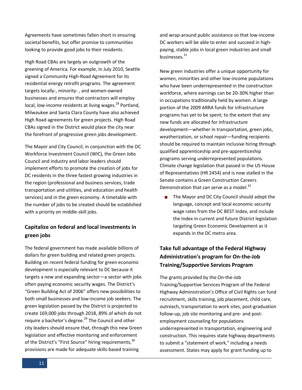Agreements have sometimes fallen short in ensuring societal benefits, but offer promise to communities looking to provide good jobs to their residents.

High Road CBAs are largely an outgrowth of the greening of America. For example, in July 2010, Seattle signed a Community High-Road Agreement for its residential energy retrofit programs. The agreement targets locally-, minority- , and women-owned businesses and ensures that contractors will employ local, low-income residents at living wages.<sup>28</sup> Portland, Milwaukee and Santa Clara County have also achieved High Road agreements for green projects. High Road CBAs signed in the District would place the city near the forefront of progressive green jobs development.

The Mayor and City Council, in conjunction with the DC Workforce Investment Council (WIC), the Green Jobs Council and industry and labor leaders should implement efforts to promote the creation of jobs for DC residents in the three fastest growing industries in the region (professional and business services, trade transportation and utilities, and education and health services) and in the green economy. A timetable with the number of jobs to be created should be established with a priority on middle-skill jobs.

## **Capitalize on federal and local investments in green jobs**

The federal government has made available billions of dollars for green building and related green projects. Building on recent federal funding for green economic development is especially relevant to DC because it targets a new and expanding sector—a sector with jobs often paying economic security wages. The District's "Green Building Act of 2006" offers new possibilities to both small businesses and low-income job seekers. The green legislation passed by the District is projected to create 169,000 jobs through 2018, 89% of which do not require a bachelor's degree.<sup>29</sup> The Council and other city leaders should ensure that, through this new Green legislation and effective monitoring and enforcement of the District's "First Source" hiring requirements,<sup>30</sup> provisions are made for adequate skills-based training

and wrap-around public assistance so that low-income DC workers will be able to enter and succeed in highpaying, stable jobs in local green industries and small businesses.<sup>31</sup>

New green industries offer a unique opportunity for women, minorities and other low-income populations who have been underrepresented in the construction workforce, where earnings can be 20-30% higher than in occupations traditionally held by women. A large portion of the 2009 ARRA funds for infrastructure programs has yet to be spent; to the extent that any new funds are allocated for infrastructure development—whether in transportation, green jobs, weatherization, or school repair—funding recipients should be required to maintain inclusive hiring through qualified apprenticeship and pre-apprenticeship programs serving underrepresented populations. Climate change legislation that passed in the US House of Representatives (HR 2454) and is now stalled in the Senate contains a Green Construction Careers Demonstration that can serve as a model.<sup>32</sup>

 The Mayor and DC City Council should adopt the language, concept and local economic security wage rates from the DC BEST Index, and include the Index in current and future District legislation targeting Green Economic Development as it expands in the DC metro area.

## **Take full advantage of the Federal Highway Administration's program for On-the-Job Training/Supportive Services Program**

The grants provided by the On-the-Job Training/Supportive Services Program of the Federal Highway Administration's Office of Civil Rights can fund recruitment, skills training, job placement, child care, outreach, transportation to work sites, post-graduation follow-up, job site monitoring and pre- and postemployment counseling for populations underrepresented in transportation, engineering and construction. This requires state highway departments to submit a "statement of work," including a needs assessment. States may apply for grant funding up to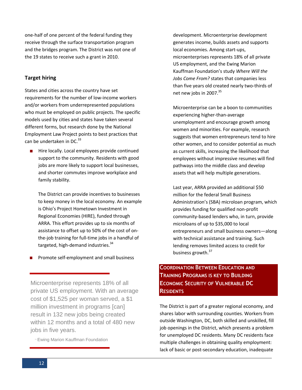one-half of one percent of the federal funding they receive through the surface transportation program and the bridges program. The District was not one of the 19 states to receive such a grant in 2010.

#### **Target hiring**

States and cities across the country have set requirements for the number of low-income workers and/or workers from underrepresented populations who must be employed on public projects. The specific models used by cities and states have taken several different forms, but research done by the National Employment Law Project points to best practices that can be undertaken in DC. $^{33}$ 

**Hire locally. Local employees provide continued** support to the community. Residents with good jobs are more likely to support local businesses, and shorter commutes improve workplace and family stability.

The District can provide incentives to businesses to keep money in the local economy. An example is Ohio's [Project Hometown Investment in](http://www.onestopohio.org/Page285.asp)  [Regional Economies \(HIRE\)](http://www.onestopohio.org/Page285.asp), funded through ARRA. This effort provides up to six months of assistance to offset up to 50% of the cost of onthe-job training for full-time jobs in a handful of targeted, high-demand industries.<sup>34</sup>

**Promote self-employment and small business** 

Microenterprise represents 18% of all private US employment. With an average cost of \$1,525 per woman served, a \$1 million investment in programs [can] result in 132 new jobs being created within 12 months and a total of 480 new jobs in five years.

- Ewing Marion Kauffman Foundation

development. Microenterprise development generates income, builds assets and supports local economies. Among start-ups, microenterprises represents 18% of all private US employment, and the Ewing Marion Kauffman Foundation's study *[Where Will the](http://www.kauffman.org/newsroom/kauffman-foundation-analysis-emphasizes-importance-of-young-businesses-to-job-creation-in-the-united-states.aspx)  [Jobs Come From?](http://www.kauffman.org/newsroom/kauffman-foundation-analysis-emphasizes-importance-of-young-businesses-to-job-creation-in-the-united-states.aspx)* states that companies less than five years old created nearly two-thirds of net new jobs in 2007.<sup>35</sup>

Microenterprise can be a boon to communities experiencing higher-than-average unemployment and encourage growth among women and minorities. For example, research suggests that women entrepreneurs tend to hire other women, and to consider potential as much as current skills, increasing the likelihood that employees without impressive resumes will find pathways into the middle class and develop assets that will help multiple generations.

Last year, ARRA provided an additional \$50 million for the federal Small Business Administration's (SBA) microloan program, which provides funding for qualified non-profit community-based lenders who, in turn, provide microloans of up to \$35,000 to local entrepreneurs and small business owners—along with technical assistance and training. Such lending removes limited access to credit for business growth.<sup>37</sup>

## **COORDINATION BETWEEN EDUCATION AND TRAINING PROGRAMS IS KEY TO BUILDING ECONOMIC SECURITY OF VULNERABLE DC RESIDENTS**

The District is part of a greater regional economy, and shares labor with surrounding counties. Workers from outside Washington, DC, both skilled and unskilled, fill job openings in the District, which presents a problem for unemployed DC residents. Many DC residents face multiple challenges in obtaining quality employment: lack of basic or post-secondary education, inadequate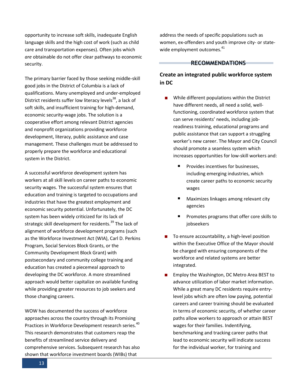opportunity to increase soft skills, inadequate English language skills and the high cost of work (such as child care and transportation expenses). Often jobs which *are* obtainable do not offer clear pathways to economic security.

The primary barrier faced by those seeking middle-skill good jobs in the District of Columbia is a lack of qualifications. Many unemployed and under-employed District residents suffer low literacy levels<sup>38</sup>, a lack of soft skills, and insufficient training for high-demand, economic security-wage jobs. The solution is a cooperative effort among relevant District agencies and nonprofit organizations providing workforce development, literacy, public assistance and case management. These challenges must be addressed to properly prepare the workforce and educational system in the District.

A successful workforce development system has workers at all skill levels on career paths to economic security wages. The successful system ensures that education and training is targeted to occupations and industries that have the greatest employment and economic security potential. Unfortunately, the DC system has been widely criticized for its lack of strategic skill development for residents.<sup>39</sup> The lack of alignment of workforce development programs (such as the Workforce Investment Act (WIA), Carl D. Perkins Program, Social Services Block Grants, or the Community Development Block Grant) with postsecondary and community college training and education has created a piecemeal approach to developing the DC workforce. A more streamlined approach would better capitalize on available funding while providing greater resources to job seekers and those changing careers.

WOW has documented the success of workforce approaches across the country through its Promising Practices in Workforce Development research series.<sup>40</sup> This research demonstrates that customers reap the benefits of streamlined service delivery and comprehensive services. Subsequent research has also shown that workforce investment boards (WIBs) that

address the needs of specific populations such as women, ex-offenders and youth improve city- or statewide employment outcomes.<sup>41</sup>

#### **RECOMMENDATIONS**

## **Create an integrated public workforce system in DC**

- While different populations within the District have different needs, all need a solid, wellfunctioning, coordinated workforce system that can serve residents' needs, including jobreadiness training, educational programs and public assistance that can support a struggling worker's new career. The Mayor and City Council should promote a seamless system which increases opportunities for low-skill workers and:
	- $\blacksquare$  Provides incentives for businesses. including emerging industries, which create career paths to economic security wages
	- Maximizes linkages among relevant city agencies
	- Promotes programs that offer core skills to jobseekers
- $\blacksquare$  To ensure accountability, a high-level position within the Executive Office of the Mayor should be charged with ensuring components of the workforce and related systems are better integrated.
- Employ the Washington, DC Metro Area BEST to advance utilization of labor market information. While a great many DC residents require entrylevel jobs which are often low paying, potential careers and career training should be evaluated in terms of economic security, of whether career paths allow workers to approach or attain BEST wages for their families. Indentifying, benchmarking and tracking career paths that lead to economic security will indicate success for the individual worker, for training and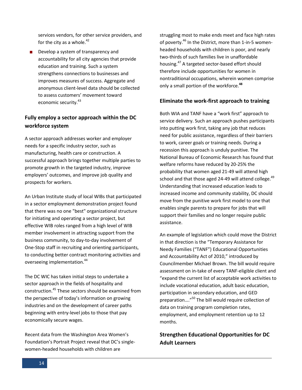services vendors, for other service providers, and for the city as a whole.<sup>42</sup>

Develop a system of transparency and accountability for all city agencies that provide education and training. Such a system strengthens connections to businesses and improves measures of success. Aggregate and anonymous client-level data should be collected to assess customers' movement toward economic security.<sup>43</sup>

## **Fully employ a sector approach within the DC workforce system**

A sector approach addresses worker and employer needs for a specific industry sector, such as manufacturing, health care or construction. A successful approach brings together multiple parties to promote growth in the targeted industry, improve employers' outcomes, and improve job quality and prospects for workers.

An Urban Institute study of local WIBs that participated in a sector employment demonstration project found that there was no one "best" organizational structure for initiating and operating a sector project, but effective WIB roles ranged from a high level of WIB member involvement in attracting support from the business community, to day-to-day involvement of One-Stop staff in recruiting and orienting participants, to conducting better contract monitoring activities and overseeing implementation.<sup>44</sup>

The DC WIC has taken initial steps to undertake a sector approach in the fields of hospitality and construction.<sup>45</sup> These sectors should be examined from the perspective of today's information on growing industries and on the development of career paths beginning with entry-level jobs to those that pay economically secure wages.

Recent data from the Washington Area Women's Foundation's Portrait Project reveal that DC's singlewomen-headed households with children are

struggling most to make ends meet and face high rates of poverty.<sup>46</sup> In the District, more than 1-in-5 womenheaded households with children is poor, and nearly two-thirds of such families live in unaffordable housing.<sup>47</sup> A targeted sector-based effort should therefore include opportunities for women in nontraditional occupations, wherein women comprise only a small portion of the workforce.**<sup>48</sup>**

#### **Eliminate the work-first approach to training**

Both WIA and TANF have a "work first" approach to service delivery. Such an approach pushes participants into putting work first, taking any job that reduces need for public assistance, regardless of their barriers to work, career goals or training needs. During a recession this approach is unduly punitive. The National Bureau of Economic Research has found that welfare reforms have reduced by 20-25% the probability that women aged 21-49 will attend high school and that those aged 24-49 will attend college.<sup>49</sup> Understanding that increased education leads to increased income and community stability, DC should move from the punitive work first model to one that enables single parents to prepare for jobs that will support their families and no longer require public assistance.

An example of legislation which could move the District in that direction is the "Temporary Assistance for Needy Families ("TANF") Educational Opportunities and Accountability Act of 2010," introduced by Councilmember Michael Brown. The bill would require assessment on in-take of every TANF-eligible client and "expand the current list of acceptable work activities to include vocational education, adult basic education, participation in secondary education, and GED preparation....<sup>"50</sup> The bill would require collection of data on training program completion rates, employment, and employment retention up to 12 months.

## **Strengthen Educational Opportunities for DC Adult Learners**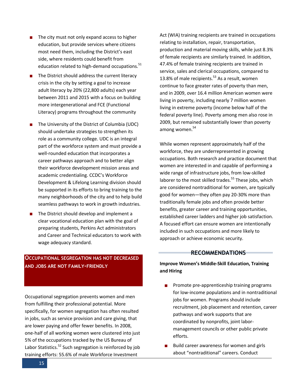- $\blacksquare$  The city must not only expand access to higher education, but provide services where citizens most need them, including the District's east side, where residents could benefit from education related to high-demand occupations.<sup>51</sup>
- The District should address the current literacy crisis in the city by setting a goal to increase adult literacy by 20% (22,800 adults) each year between 2011 and 2015 with a focus on building more intergenerational and FCE (Functional Literacy) programs throughout the community
- The University of the District of Columbia (UDC) should undertake strategies to strengthen its role as a community college. UDC is an integral part of the workforce system and must provide a well-rounded education that incorporates a career pathways approach and to better align their workforce development mission areas and academic credentialing. CCDC's Workforce Development & Lifelong Learning division should be supported in its efforts to bring training to the many neighborhoods of the city and to help build seamless pathways to work in growth industries.
- The District should develop and implement a clear vocational education plan with the goal of preparing students, Perkins Act administrators and Career and Technical educators to work with wage adequacy standard.

#### **OCCUPATIONAL SEGREGATION HAS NOT DECREASED AND JOBS ARE NOT FAMILY-FRIENDLY**

Occupational segregation prevents women and men from fulfilling their professional potential. More specifically, for women segregation has often resulted in jobs, such as service provision and care giving, that are lower paying and offer fewer benefits. In 2008, one-half of all working women were clustered into just 5% of the occupations tracked by the US Bureau of Labor Statistics.<sup>52</sup> Such segregation is reinforced by job training efforts: 55.6% of male Workforce Investment

Act (WIA) training recipients are trained in occupations relating to installation, repair, transportation, production and material moving skills, while just 8.3% of female recipients are similarly trained. In addition, 47.4% of female training recipients are trained in service, sales and clerical occupations, compared to 13.8% of male recipients.<sup>53</sup> As a result, women continue to face greater rates of poverty than men, and in 2009, over 16.4 million American women were living in poverty, including nearly 7 million women living in extreme poverty (income below half of the federal poverty line). Poverty among men also rose in 2009, but remained substantially lower than poverty among women. 54

While women represent approximately half of the workforce, they are underrepresented in growing occupations. Both research and practice document that women are interested in and capable of performing a wide range of infrastructure jobs, from low-skilled laborer to the most skilled trades.<sup>55</sup> These jobs, which are considered nontraditional for women, are typically good for women—they often pay 20-30% more than traditionally female jobs and often provide better benefits, greater career and training opportunities, established career ladders and higher job satisfaction. A focused effort can ensure women are intentionally included in such occupations and more likely to approach or achieve economic security.

#### **RECOMMENDATIONS**

#### **Improve Women's Middle-Skill Education, Training and Hiring**

- Promote pre-apprenticeship training programs for low-income populations and in nontraditional jobs for women. Programs should include recruitment, job placement and retention, career pathways and work supports that are coordinated by nonprofits, joint labormanagement councils or other public private efforts.
- Build career awareness for women and girls about "nontraditional" careers. Conduct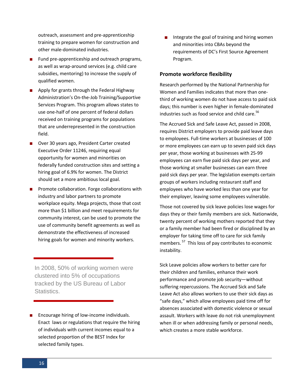outreach, assessment and pre-apprenticeship training to prepare women for construction and other male-dominated industries.

- $\blacksquare$  Fund pre-apprenticeship and outreach programs, as well as wrap-around services (e.g. child care subsidies, mentoring) to increase the supply of qualified women.
- **Apply for grants through the Federal Highway** Administration's On-the-Job Training/Supportive Services Program. This program allows states to use one-half of one percent of federal dollars received on training programs for populations that are underrepresented in the construction field.
- Over 30 years ago, President Carter created [Executive Order 11246,](http://www.dol.gov/esa/ofccp/regs/compliance/fs11246.htm) requiring equal opportunity for women and minorities on federally funded construction sites and setting a hiring goal of 6.9% for women. The District should set a more ambitious local goal.
- **Promote collaboration. Forge collaborations with** industry and labor partners to promote workplace equity. Mega projects, those that cost more than \$1 billion and meet requirements for community interest, can be used to promote the use of community benefit agreements as well as demonstrate the effectiveness of increased hiring goals for women and minority workers.

In 2008, 50% of working women were clustered into 5% of occupations tracked by the US Bureau of Labor Statistics.

■ Encourage hiring of low-income individuals. Enact laws or regulations that require the hiring of individuals with current incomes equal to a selected proportion of the BEST Index for selected family types.

Integrate the goal of training and hiring women and minorities into CBAs beyond the requirements of DC's First Source Agreement Program.

#### **Promote workforce flexibility**

Research performed by the National Partnership for Women and Families indicates that more than onethird of working women do not have access to paid sick days; this number is even higher in female-dominated industries such as food service and child care.<sup>56</sup>

The Accrued Sick and Safe Leave Act, passed in 2008, requires District employers to provide paid leave days to employees. Full-time workers at businesses of 100 or more employees can earn up to seven paid sick days per year, those working at businesses with 25-99 employees can earn five paid sick days per year, and those working at smaller businesses can earn three paid sick days per year. The legislation exempts certain groups of workers including restaurant staff and employees who have worked less than one year for their employer, leaving some employees vulnerable.

Those not covered by sick leave policies lose wages for days they or their family members are sick. Nationwide, twenty percent of working mothers reported that they or a family member had been fired or disciplined by an employer for taking time off to care for sick family members. 57 This loss of pay contributes to economic instability.

Sick Leave policies allow workers to better care for their children and families, enhance their work performance and promote job security—without suffering repercussions. The Accrued Sick and Safe Leave Act also allows workers to use their sick days as "safe days," which allow employees paid time off for absences associated with domestic violence or sexual assault. Workers with leave do not risk unemployment when ill or when addressing family or personal needs, which creates a more stable workforce.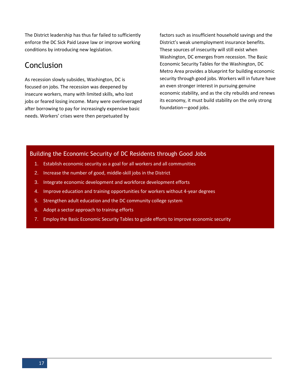The District leadership has thus far failed to sufficiently enforce the DC Sick Paid Leave law or improve working conditions by introducing new legislation.

# Conclusion

As recession slowly subsides, Washington, DC is focused on jobs. The recession was deepened by insecure workers, many with limited skills, who lost jobs or feared losing income. Many were overleveraged after borrowing to pay for increasingly expensive basic needs. Workers' crises were then perpetuated by

factors such as insufficient household savings and the District's weak unemployment insurance benefits. These sources of insecurity will still exist when Washington, DC emerges from recession. The Basic Economic Security Tables for the Washington, DC Metro Area provides a blueprint for building economic security through good jobs. Workers will in future have an even stronger interest in pursuing genuine economic stability, and as the city rebuilds and renews its economy, it must build stability on the only strong foundation—good jobs.

#### Building the Economic Security of DC Residents through Good Jobs

- 1. Establish economic security as a goal for all workers and all communities
- 2. Increase the number of good, middle-skill jobs in the District
- 3. Integrate economic development and workforce development efforts
- 4. Improve education and training opportunities for workers without 4-year degrees
- 5. Strengthen adult education and the DC community college system
- 6. Adopt a sector approach to training efforts
- 7. Employ the Basic Economic Security Tables to guide efforts to improve economic security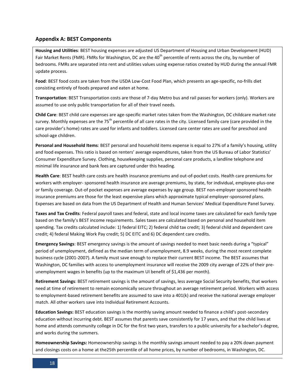#### **Appendix A: BEST Components**

**Housing and Utilities**: BEST housing expenses are adjusted US Department of Housing and Urban Development (HUD) Fair Market Rents (FMR). FMRs for Washington, DC are the 40<sup>th</sup> percentile of rents across the city, by number of bedrooms. FMRs are separated into rent and utilities values using expense ratios created by HUD during the annual FMR update process.

**Food**: BEST food costs are taken from the USDA Low-Cost Food Plan, which presents an age-specific, no-frills diet consisting entirely of foods prepared and eaten at home.

**Transportation**: BEST Transportation costs are those of 7-day Metro bus and rail passes for workers (only). Workers are assumed to use only public transportation for all of their travel needs.

**Child Care**: BEST child care expenses are age-specific market rates taken from the Washington, DC childcare market rate survey. Monthly expenses are the 75<sup>th</sup> percentile of all care rates in the city. Licensed family care (care provided in the care provider's home) rates are used for infants and toddlers. Licensed care center rates are used for preschool and school-age children.

**Personal and Household Items**: BEST personal and household items expense is equal to 27% of a family's housing, utility and food expenses. This ratio is based on renters' average expenditures, taken from the US Bureau of Labor Statistics' Consumer Expenditure Survey. Clothing, housekeeping supplies, personal care products, a landline telephone and minimal life insurance and bank fees are captured under this heading.

**Health Care**: BEST health care costs are health insurance premiums and out-of-pocket costs. Health care premiums for workers with employer- sponsored health insurance are average premiums, by state, for individual, employee-plus-one or family coverage. Out-of pocket expenses are average expenses by age group. BEST non-employer sponsored health insurance premiums are those for the least expensive plans which approximate typical employer-sponsored plans. Expenses are based on data from the US Department of Health and Human Services' Medical Expenditure Panel Survey.

**Taxes and Tax Credits**: Federal payroll taxes and federal, state and local income taxes are calculated for each family type based on the family's BEST income requirements. Sales taxes are calculated based on personal and household item spending. Tax credits calculated include: 1) federal EITC; 2) federal child tax credit; 3) federal child and dependent care credit; 4) federal Making Work Pay credit; 5) DC EITC and 6) DC dependent care credits.

**Emergency Savings**: BEST emergency savings is the amount of savings needed to meet basic needs during a "typical" period of unemployment, defined as the median term of unemployment, 8.9 weeks, during the most recent complete business cycle (2001-2007). A family must save enough to replace their current BEST income. The BEST assumes that Washington, DC families with access to unemployment insurance will receive the 2009 city average of 22% of their preunemployment wages in benefits (up to the maximum UI benefit of \$1,436 per month).

**Retirement Savings**: BEST retirement savings is the amount of savings, less average Social Security benefits, that workers need at time of retirement to remain economically secure throughout an average retirement period. Workers with access to employment-based retirement benefits are assumed to save into a 401(k) and receive the national average employer match. All other workers save into Individual Retirement Accounts.

**Education Savings:** BEST education savings is the monthly saving amount needed to finance a child's post-secondary education without incurring debt. BEST assumes that parents save consistently for 17 years, and that the child lives at home and attends community college in DC for the first two years, transfers to a public university for a bachelor's degree, and works during the summers.

**Homeownership Savings:** Homeownership savings is the monthly savings amount needed to pay a 20% down payment and closings costs on a home at the25th percentile of all home prices, by number of bedrooms, in Washington, DC.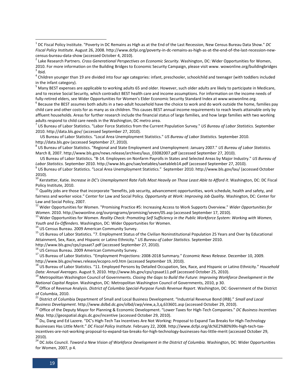<sup>4</sup> Children younger than 19 are divided into four age categories: infant, preschooler, schoolchild and teenager (with toddlers included in the infant category).

<sup>5</sup> Many BEST expenses are applicable to working adults 65 and older. However, such older adults are likely to participate in Medicare, and to receive Social Security, which contradict BEST health care and income assumptions. For information on the income needs of fully-retired elders, see Wider Opportunities for Women's Elder Economic Security Standard Index at www.wowonline.org.

 $^6$  Because the BEST assumes both adults in a two-adult household have the choice to work and do work outside the home, families pay child care and other costs for as many as six children. This causes BEST annual income requirements to reach levels attainable only by affluent households. Areas for further research include the financial status of large families, and how large families with two working adults respond to child care needs in the Washington, DC metro area.

7 US Bureau of Labor Statistics. "Labor Force Statistics from the Current Population Survey." *US Bureau of Labor Statistics.* September 2010. http://data.bls.gov/ (accessed September 27, 2010).

US Bureau of Labor Statistics. "Local Area Unemployment Statistics." *US Bureau of Labor Statistics.* September 2010. http://data.bls.gov (accessed September 27, 2010).

8 US Bureau of Labor Statistics. "Regional and State Employment and Unemployment: January 2007." *US Bureau of Labor Statistics.* March 8, 2007. http://www.bls.gov/news.release/archives/laus\_03082007.pdf (accessed September 27, 2010).

US Bureau of Labor Statistics. "B-14. Employees on Nonfarm Payrolls in States and Selected Areas by Major Industry." *US Bureau of Labor Statistics.* September 2010. http://www.bls.gov/sae/eetables/saetableb14.pdf (accessed September 27, 2010).

9 US Bureau of Labor Statistics. "Local Area Unemployment Statistics." September 2010. http://www.bls.gov/lau/ (accessed October 2010).

<sup>10</sup> Kerstetter, Katie. *Increase in DC's Unemployment Rate Falls Most Heavily on Those Least Able to Afford it*. Washington, DC: DC Fiscal Policy Institute, 2010.

 $11$  Qualitv iobs are those that incorporate "benefits, job security, advancement opportunities, work schedule, health and safety, and fairness and worker voice." Center for Law and Social Policy. *Opportunity at Work: Improving Job Quality.* Washington, DC: Center for Law and Social Policy, 2007.

<sup>12</sup> Wider Opportunities for Women. "Promising Practice #5: Increasing Access to Work Supports Overview." *Wider Opportunities for Women.* 2010. http://wowonline.org/ourprograms/promising/seven/05.asp (accessed September 17, 2010).

<sup>13</sup> Wider Opportunities for Women. *Reality Check: Promoting Self Sufficiency in the Public Workforce System: Working with Women, Youth and Ex-Offenders.* Washington, DC: Wider Opportunities for Women.

<sup>14</sup> US Census Bureau. 2009 American Community Survey.

<sup>15</sup> US Bureau of Labor Statistics. "7. Employment Status of the Civilian Noninstitutional Population 25 Years and Over by Educational Attainment, Sex, Race, and Hispanic or Latino Ethnicity." *US Bureau of Labor Statistics.* September 2010.

http://www.bls.gov/cps/cpsaat7.pdf (accessed September 27, 2010).

<sup>16</sup> US Census Bureau. 2009 American Community Survey.

<sup>17</sup> US Bureau of Labor Statistics. "Employment Projections: 2008-2018 Summary." *Economic News Release.* December 10, 2009. http://www.bls.gov/news.release/ecopro.nr0.htm (accessed September 19, 2010).

<sup>18</sup> US Bureau of Labor Statistics. "11. Employed Persons by Detailed Occupation, Sex, Race, and Hispanic or Latino Ethnicity." *Household Data: Annual Averages*. August 9, 2010. http://www.bls.gov/cps/cpsaat11.pdf (accessed October 25, 2010).

<sup>19</sup> Metropolitan Washington Council of Governments. *Closing the Gaps to Build the Future: Improving Workforce Development in the National Capital Region.* Washington, DC: Metropolitan Washington Council of Governments, 2010, p 30.

<sup>20</sup> Office of Revenue Analysis. *District of Columbia Special-Purpose Funds Revenue Report*. Washington, DC: Government of the District of Columbia, 2010.

<sup>21</sup> District of Columbia Department of Small and Local Business Development. "Industrial Revenue Bond (IRB)." *Small and Local Business Development*. http://www.dslbd.dc.gov/olbd/cwp/view,a,3,q,633601.asp (accessed October 29, 2010).

<sup>22</sup> Office of the Deputy Mayor for Planning & Economic Development. "Lower Taxes for High-Tech Companies." *DC Business Incentives Map*. http://geospatial.dcgis.dc.gov/incentive (accessed October 29, 2010).

<sup>23</sup> Du, Dang and Ed Lazere. "DC's High-Tech Tax Incentives Are Not Working: Proposal to Expand Tax Breaks for High-Technology Businesses Has Little Merit." *DC Fiscal Policy Institute*. February 22, 2008. http://www.dcfpi.org/dc%E2%80%99s-high-tech-taxincentives-are-not-working-proposal-to-expand-tax-breaks-for-high-technology-businesses-has-little-merit (accessed October 29, 2010).

<sup>24</sup> DC Jobs Council. *Toward a New Vision of Workforce Development in the District of Columbia.* Washington, DC: Wider Opportunities for Women, 2007, p 4.

 $\overline{\phantom{a}}$ 

<sup>1</sup> DC Fiscal Policy Institute. "Poverty in DC Remains as High as at the End of the Last Recession, New Census Bureau Data Show." *DC Fiscal Policy Institute.* August 26, 2008. http://www.dcfpi.org/poverty-in-dc-remains-as-high-as-at-the-end-of-the-last-recession-new-

census-bureau-data-show (accessed October 4, 2010).<br><sup>2</sup> Lake Research Partners. *Cross Generational Perspectives on Economic Security*. Washington, DC: Wider Opportunities for Women, 2010. For more information on the Building Bridges to Economic Security Campaign, please visit www. wowonline.org/buildingbridges  $3$  Ibid.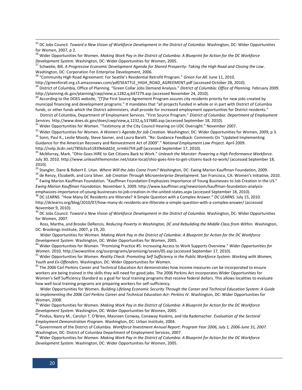<sup>25</sup> DC Jobs Council. *Toward a New Vision of Workforce Development in the District of Columbia.* Washington, DC: Wider Opportunities for Women, 2007, p 2.

<sup>26</sup> Wider Opportunities for Women. *Making Work Pay in the District of Columbia: A Blueprint for Action for the DC Workforce Development System.* Washington, DC: Wider Opportunities for Women, 2005.

<sup>27</sup> Schweke, Bill. *A Progressive Economic Development Agenda for Shared Prosperity: Taking the High Road and Closing the Low*. Washington, DC: Corporation For Enterprise Development, 2006.

<sup>28</sup> "Community High Road Agreement: For Seattle's Residential Retrofit Program." *Green For All.* June 11, 2010.

http://greenforall.org.s3.amazonaws.com/pdf/SEATTLE\_HIGH\_ROAD\_AGREEMENT.pdf (accessed October 28, 2010).

<sup>29</sup> District of Columbia, Office of Planning. "Green Collar Jobs Demand Analysis." *District of Columbia: Office of Planning*. February 2009. http://planning.dc.gov/planning/cwp/view,a,1282,q,647279.asp (accessed November 24, 2010).

 $30$  According to the DOES website, "[T]he First Source Agreement Program assures city residents priority for new jobs created by municipal financing and development programs." It mandates that "all projects funded in whole or in part with District of Columbia funds, or other funds which the District administers, shall provide for increased employment opportunities for District residents."

District of Columbia, Department of Employment Services. "First Source Program." *District of Columbia: Department of Employment Services.* http://www.does.dc.gov/does/cwp/view,a,1232,q,537680.asp (accessed September 18, 2010).

<sup>31</sup> Wider Opportunities for Women. "Testimony at the City Council Hearing on UDC Oversight." November 2007.

<sup>32</sup> Wider Opportunities for Women. *A Women's Agenda for Job Creation.* Washington, DC: Wider Opportunities for Women, 2009, p 3. 33 Sonn, Paul K., Leslie Moody, Steve Savner, and Laura Barett. "Re: Guidance Feedback: Comments On "Updated Implementing Guidance for the American Recovery and Reinvestment Act of 2009"." *National Employment Law Project.* April 2009. http://nelp.3cdn.net/785b3ca51839ebdd2d\_nrm6ii7h9.pdf (accessed September 17, 2010).

<sup>34</sup> McMurray, Mark. "Ohio Goes HIRE to Get Citizens Back to Work." *Unleash the Monster: Powering a High Performance Workforce.* July 30, 2010. http://www.unleashthemonster.net/state-local/ohio-goes-hire-to-get-citizens-back-to-work/ (accessed September 18, 2010).

<sup>35</sup> Stangler, Dane & Robert E. Litan. *Where Will the Jobs Come From?* Washington, DC: Ewing Marion Kauffman Foundation, 2009.

<sup>36</sup> de Renzy, Elizabeth, and Lora Silver. *Job Creation Through Microenterprise Development.* San Francisco, CA: Women's Initiative, 2010. <sup>37</sup> Ewing Marion Kauffman Foundation. "Kauffman Foundation Emphasizes Importance of Young Businesses to Job Creation in the US." *Ewing Marion Kauffman Foundation.* November 5, 2009. http://www.kauffman.org/newsroom/kauffman-foundation-analysisemphasizes-importance-of-young-businesses-to-job-creation-in-the-united-states.aspx (accessed September 18, 2010).

<sup>38</sup> DC LEARNS. "How Many DC Residents are Illiterate? A Simple Question with a Complex Answer." *DC LEARNS*. July 15, 2010. http://dclearns.org/blog/2010/07/how-many-dc-residents-are-illiterate-a-simple-question-with-a-complex-answer/ (accessed November 9, 2010).

<sup>39</sup> DC Jobs Council. *Toward a New Vision of Workforce Development in the District of Columbia.* Washington, DC: Wider Opportunities for Women, 2007.

Ross, Martha, and Brooke DeRenzis. *Reducing Poverty in Washington, DC and Rebuilding the Middle Class from Within.* Washington, DC: Brookings Institute, 2007, p 19, 20.

Wider Opportunities for Women. *Making Work Pay in the District of Columbia: A Blueprint for Action for the DC Workforce Development System.* Washington, DC: Wider Opportunities for Women, 2005.

<sup>40</sup> Wider Opportunities for Women. "Promising Practice #5: Increasing Access to Work Supports Overview." *Wider Opportunities for Women.* 2010. http://wowonline.org/ourprograms/promising/seven/05.asp (accessed September 17, 2010).

<sup>41</sup> Wider Opportunities for Women. *Reality Check: Promoting Self Sufficiency in the Public Workforce System: Working with Women, Youth and Ex-Offenders.* Washington, DC: Wider Opportunities for Women.

<sup>42</sup> The 2006 Carl Perkins Career and Technical Education Act demonstrates how income measures can be incorporated to ensure workers are being trained in the skills they will need for good jobs. The 2006 Perkins Act incorporates Wider Opportunities for Women's Self Sufficiency Standard as a goal for local training programs that receive federal dollars. This allows localities to evaluate how well local training programs are preparing workers for self-sufficiency.

Wider Opportunities for Women. *Building Lifelong Economic Security Through the Career and Technical Education System: A Guide to Implementing the 2006 Carl Perkins Career and Technical Education Act- Perkins IV*. Washington, DC: Wider Opportunities for Women, 2008.

<sup>43</sup> Wider Opportunities for Women. *Making Work Pay in the District of Columbia: A Blueprint for Action for the DC Workforce Development System.* Washington, DC: Wider Opportunities for Women, 2005.

<sup>44</sup> Pindus, Nancy M., Carolyn T. O'Brien, Maureen Conway, Conaway Haskins, and Ida Rademacher. *Evaluation of the Sectoral Employment Demonstration Program.* Washington, DC: Urban Institute, 2004.

<sup>45</sup> Government of the District of Columbia. *Workforce Investment Annual Report: Program Year 2006, July 1, 2006-June 31, 2007.* Washington, DC: District of Columbia Department of Employment Services, 2007.

<sup>46</sup> Wider Opportunities for Women. *Making Work Pay in the District of Columbia: A Blueprint for Action for the DC Workforce Development System.* Washington, DC: Wider Opportunities for Women, 2005.

 $\overline{\phantom{a}}$